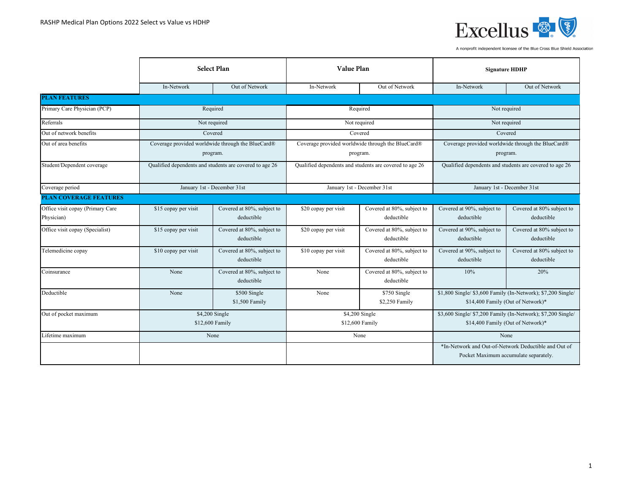

|                                  | <b>Select Plan</b>                |                                                                                                                    |                                    | <b>Value Plan</b>                                 |                                                                                                   | <b>Signature HDHP</b>                                                                         |  |
|----------------------------------|-----------------------------------|--------------------------------------------------------------------------------------------------------------------|------------------------------------|---------------------------------------------------|---------------------------------------------------------------------------------------------------|-----------------------------------------------------------------------------------------------|--|
|                                  | In-Network                        | Out of Network                                                                                                     | In-Network                         | Out of Network                                    | In-Network                                                                                        | Out of Network                                                                                |  |
| <b>PLAN FEATURES</b>             |                                   |                                                                                                                    |                                    |                                                   |                                                                                                   |                                                                                               |  |
| Primary Care Physician (PCP)     |                                   | Required                                                                                                           |                                    | Required                                          |                                                                                                   | Not required                                                                                  |  |
| Referrals                        |                                   | Not required                                                                                                       |                                    | Not required                                      |                                                                                                   | Not required                                                                                  |  |
| Out of network benefits          |                                   | Covered                                                                                                            |                                    | Covered                                           |                                                                                                   | Covered                                                                                       |  |
| Out of area benefits             |                                   | Coverage provided worldwide through the BlueCard®                                                                  |                                    | Coverage provided worldwide through the BlueCard® |                                                                                                   | Coverage provided worldwide through the BlueCard®                                             |  |
|                                  |                                   | program.                                                                                                           |                                    | program.                                          |                                                                                                   | program.                                                                                      |  |
| Student/Dependent coverage       |                                   | Qualified dependents and students are covered to age 26<br>Qualified dependents and students are covered to age 26 |                                    |                                                   | Qualified dependents and students are covered to age 26                                           |                                                                                               |  |
| Coverage period                  | January 1st - December 31st       |                                                                                                                    | January 1st - December 31st        |                                                   | January 1st - December 31st                                                                       |                                                                                               |  |
| <b>PLAN COVERAGE FEATURES</b>    |                                   |                                                                                                                    |                                    |                                                   |                                                                                                   |                                                                                               |  |
| Office visit copay (Primary Care | \$15 copay per visit              | Covered at 80%, subject to                                                                                         | \$20 copay per visit               | Covered at 80%, subject to                        | Covered at 90%, subject to                                                                        | Covered at 80% subject to                                                                     |  |
| Physician)                       |                                   | deductible                                                                                                         |                                    | deductible                                        | deductible                                                                                        | deductible                                                                                    |  |
| Office visit copay (Specialist)  | \$15 copay per visit              | Covered at 80%, subject to<br>deductible                                                                           | \$20 copay per visit               | Covered at 80%, subject to<br>deductible          | Covered at 90%, subject to<br>deductible                                                          | Covered at 80% subject to<br>deductible                                                       |  |
| Telemedicine copay               | \$10 copay per visit              | Covered at 80%, subject to<br>deductible                                                                           | \$10 copay per visit               | Covered at 80%, subject to<br>deductible          | Covered at 90%, subject to<br>deductible                                                          | Covered at 80% subject to<br>deductible                                                       |  |
| Coinsurance                      | None                              | Covered at 80%, subject to<br>deductible                                                                           | None                               | Covered at 80%, subject to<br>deductible          | 10%                                                                                               | 20%                                                                                           |  |
| Deductible                       | None                              | \$500 Single<br>\$1,500 Family                                                                                     | None                               | \$750 Single<br>\$2,250 Family                    | \$1,800 Single/ \$3,600 Family (In-Network); \$7,200 Single/<br>\$14,400 Family (Out of Network)* |                                                                                               |  |
| Out of pocket maximum            | \$4,200 Single<br>\$12,600 Family |                                                                                                                    | $$4,200$ Single<br>\$12,600 Family |                                                   | \$3,600 Single/ \$7,200 Family (In-Network); \$7,200 Single/<br>\$14,400 Family (Out of Network)* |                                                                                               |  |
| Lifetime maximum                 |                                   | None                                                                                                               |                                    | None                                              |                                                                                                   | None                                                                                          |  |
|                                  |                                   |                                                                                                                    |                                    |                                                   |                                                                                                   | *In-Network and Out-of-Network Deductible and Out of<br>Pocket Maximum accumulate separately. |  |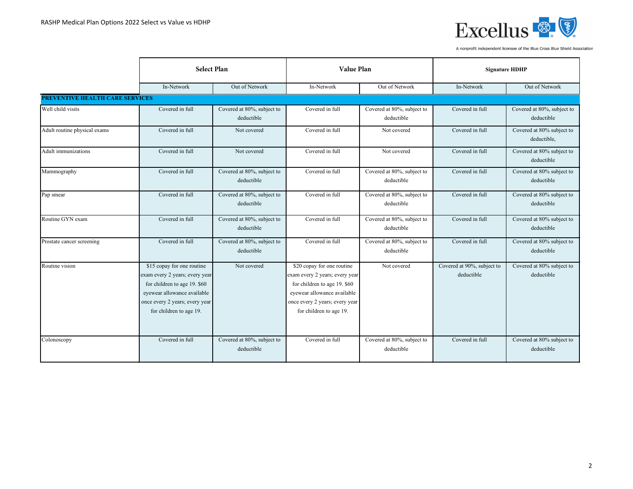

|                                        | <b>Select Plan</b>                                                                                                                                                                       |                                          | <b>Value Plan</b>                                                                                                                                                                        |                                          | <b>Signature HDHP</b>                    |                                          |
|----------------------------------------|------------------------------------------------------------------------------------------------------------------------------------------------------------------------------------------|------------------------------------------|------------------------------------------------------------------------------------------------------------------------------------------------------------------------------------------|------------------------------------------|------------------------------------------|------------------------------------------|
|                                        | In-Network                                                                                                                                                                               | Out of Network                           | In-Network                                                                                                                                                                               | Out of Network                           | In-Network                               | Out of Network                           |
| <b>PREVENTIVE HEALTH CARE SERVICES</b> |                                                                                                                                                                                          |                                          |                                                                                                                                                                                          |                                          |                                          |                                          |
| Well child visits                      | Covered in full                                                                                                                                                                          | Covered at 80%, subject to<br>deductible | Covered in full                                                                                                                                                                          | Covered at 80%, subject to<br>deductible | Covered in full                          | Covered at 80%, subject to<br>deductible |
| Adult routine physical exams           | Covered in full                                                                                                                                                                          | Not covered                              | Covered in full                                                                                                                                                                          | Not covered                              | Covered in full                          | Covered at 80% subject to<br>deductible, |
| Adult immunizations                    | Covered in full                                                                                                                                                                          | Not covered                              | Covered in full                                                                                                                                                                          | Not covered                              | Covered in full                          | Covered at 80% subject to<br>deductible  |
| Mammography                            | Covered in full                                                                                                                                                                          | Covered at 80%, subject to<br>deductible | Covered in full                                                                                                                                                                          | Covered at 80%, subject to<br>deductible | Covered in full                          | Covered at 80% subject to<br>deductible  |
| Pap smear                              | Covered in full                                                                                                                                                                          | Covered at 80%, subject to<br>deductible | Covered in full                                                                                                                                                                          | Covered at 80%, subject to<br>deductible | Covered in full                          | Covered at 80% subject to<br>deductible  |
| Routine GYN exam                       | Covered in full                                                                                                                                                                          | Covered at 80%, subject to<br>deductible | Covered in full                                                                                                                                                                          | Covered at 80%, subject to<br>deductible | Covered in full                          | Covered at 80% subject to<br>deductible  |
| Prostate cancer screening              | Covered in full                                                                                                                                                                          | Covered at 80%, subject to<br>deductible | Covered in full                                                                                                                                                                          | Covered at 80%, subject to<br>deductible | Covered in full                          | Covered at 80% subject to<br>deductible  |
| Routine vision                         | \$15 copay for one routine<br>exam every 2 years; every year<br>for children to age 19. \$60<br>eyewear allowance available<br>once every 2 years; every year<br>for children to age 19. | Not covered                              | \$20 copay for one routine<br>exam every 2 years; every year<br>for children to age 19. \$60<br>eyewear allowance available<br>once every 2 years; every year<br>for children to age 19. | Not covered                              | Covered at 90%, subject to<br>deductible | Covered at 80% subject to<br>deductible  |
| Colonoscopy                            | Covered in full                                                                                                                                                                          | Covered at 80%, subject to<br>deductible | Covered in full                                                                                                                                                                          | Covered at 80%, subject to<br>deductible | Covered in full                          | Covered at 80% subject to<br>deductible  |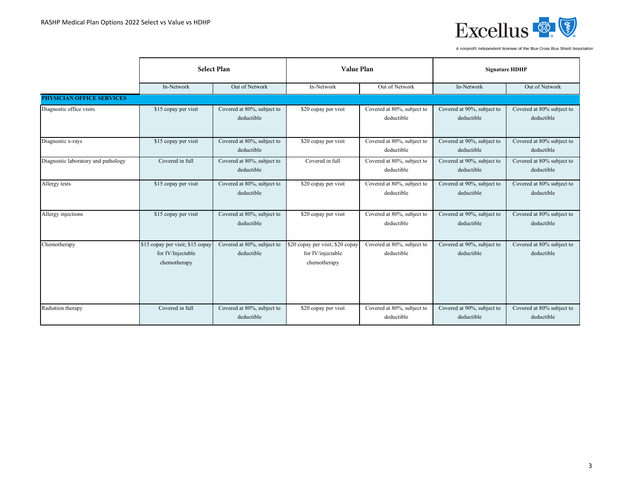

|                                     | <b>Select Plan</b>                                                    |                                          | <b>Value Plan</b>                                                     |                                          | <b>Signature HDHP</b>                    |                                         |
|-------------------------------------|-----------------------------------------------------------------------|------------------------------------------|-----------------------------------------------------------------------|------------------------------------------|------------------------------------------|-----------------------------------------|
|                                     | In-Network                                                            | Out of Network                           | In-Network                                                            | Out of Network                           | In-Network                               | Out of Network                          |
| <b>PHYSICIAN OFFICE SERVICES</b>    |                                                                       |                                          |                                                                       |                                          |                                          |                                         |
| Diagnostic office visits            | \$15 copay per visit                                                  | Covered at 80%, subject to<br>deductible | \$20 copay per visit                                                  | Covered at 80%, subject to<br>deductible | Covered at 90%, subject to<br>deductible | Covered at 80% subject to<br>deductible |
| Diagnostic x-rays                   | \$15 copay per visit                                                  | Covered at 80%, subject to<br>deductible | \$20 copay per visit                                                  | Covered at 80%, subject to<br>deductible | Covered at 90%, subject to<br>deductible | Covered at 80% subject to<br>deductible |
| Diagnostic laboratory and pathology | Covered in full                                                       | Covered at 80%, subject to<br>deductible | Covered in full                                                       | Covered at 80%, subject to<br>deductible | Covered at 90%, subject to<br>deductible | Covered at 80% subject to<br>deductible |
| Allergy tests                       | \$15 copay per visit                                                  | Covered at 80%, subject to<br>deductible | \$20 copay per visit                                                  | Covered at 80%, subject to<br>deductible | Covered at 90%, subject to<br>deductible | Covered at 80% subject to<br>deductible |
| Allergy injections                  | \$15 copay per visit                                                  | Covered at 80%, subject to<br>deductible | \$20 copay per visit                                                  | Covered at 80%, subject to<br>deductible | Covered at 90%, subject to<br>deductible | Covered at 80% subject to<br>deductible |
| Chemotherapy                        | \$15 copay per visit; \$15 copay<br>for IV/Injectable<br>chemotherapy | Covered at 80%, subject to<br>deductible | \$20 copay per visit; \$20 copay<br>for IV/injectable<br>chemotherapy | Covered at 80%, subject to<br>deductible | Covered at 90%, subject to<br>deductible | Covered at 80% subject to<br>deductible |
| Radiation therapy                   | Covered in full                                                       | Covered at 80%, subject to<br>deductible | \$20 copay per visit                                                  | Covered at 80%, subject to<br>deductible | Covered at 90%, subject to<br>deductible | Covered at 80% subject to<br>deductible |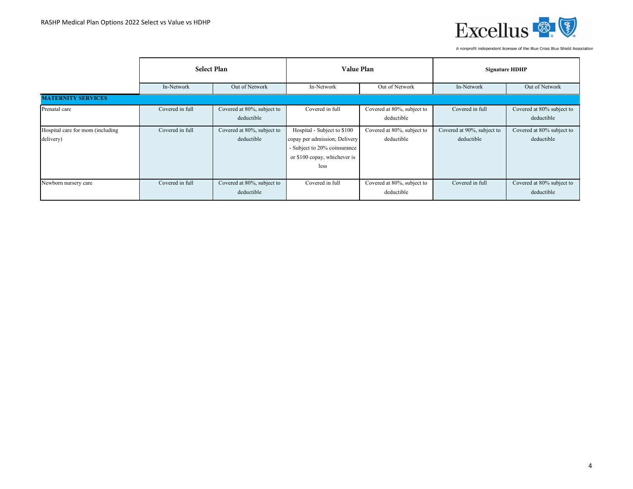

|                                               | <b>Select Plan</b> |                                          | <b>Value Plan</b>                                                                                                                    |                                          | <b>Signature HDHP</b>                    |                                         |
|-----------------------------------------------|--------------------|------------------------------------------|--------------------------------------------------------------------------------------------------------------------------------------|------------------------------------------|------------------------------------------|-----------------------------------------|
|                                               | In-Network         | Out of Network                           | In-Network                                                                                                                           | Out of Network                           | In-Network                               | Out of Network                          |
| <b>MATERNITY SERVICES</b>                     |                    |                                          |                                                                                                                                      |                                          |                                          |                                         |
| Prenatal care                                 | Covered in full    | Covered at 80%, subject to<br>deductible | Covered in full                                                                                                                      | Covered at 80%, subject to<br>deductible | Covered in full                          | Covered at 80% subject to<br>deductible |
| Hospital care for mom (including<br>delivery) | Covered in full    | Covered at 80%, subject to<br>deductible | Hospital - Subject to \$100<br>copay per admission; Delivery<br>- Subject to 20% coinsurance<br>or \$100 copay, whichever is<br>less | Covered at 80%, subject to<br>deductible | Covered at 90%, subject to<br>deductible | Covered at 80% subject to<br>deductible |
| Newborn nursery care                          | Covered in full    | Covered at 80%, subject to<br>deductible | Covered in full                                                                                                                      | Covered at 80%, subject to<br>deductible | Covered in full                          | Covered at 80% subject to<br>deductible |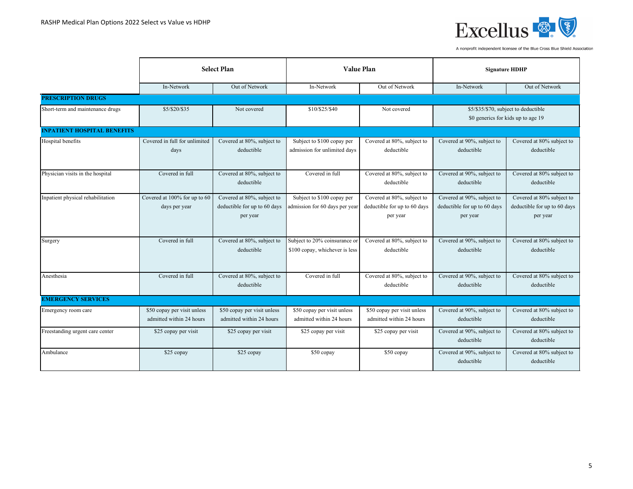

|                                    | <b>Select Plan</b>                                      |                                                                        | <b>Value Plan</b>                                               |                                                                        | <b>Signature HDHP</b>                                                  |                                                                       |
|------------------------------------|---------------------------------------------------------|------------------------------------------------------------------------|-----------------------------------------------------------------|------------------------------------------------------------------------|------------------------------------------------------------------------|-----------------------------------------------------------------------|
|                                    | In-Network                                              | Out of Network                                                         | In-Network                                                      | Out of Network                                                         | In-Network                                                             | Out of Network                                                        |
| <b>PRESCRIPTION DRUGS</b>          |                                                         |                                                                        |                                                                 |                                                                        |                                                                        |                                                                       |
| Short-term and maintenance drugs   | \$5/\$20/\$35                                           | Not covered                                                            | \$10/\$25/\$40                                                  | Not covered                                                            | \$0 generics for kids up to age 19                                     | \$5/\$35/\$70, subject to deductible                                  |
| <b>INPATIENT HOSPITAL BENEFITS</b> |                                                         |                                                                        |                                                                 |                                                                        |                                                                        |                                                                       |
| Hospital benefits                  | Covered in full for unlimited<br>days                   | Covered at 80%, subject to<br>deductible                               | Subject to \$100 copay per<br>admission for unlimited days      | Covered at 80%, subject to<br>deductible                               | Covered at 90%, subject to<br>deductible                               | Covered at 80% subject to<br>deductible                               |
| Physician visits in the hospital   | Covered in full                                         | Covered at 80%, subject to<br>deductible                               | Covered in full                                                 | Covered at 80%, subject to<br>deductible                               | Covered at 90%, subject to<br>deductible                               | Covered at 80% subject to<br>deductible                               |
| Inpatient physical rehabilitation  | Covered at 100% for up to 60<br>days per year           | Covered at 80%, subject to<br>deductible for up to 60 days<br>per year | Subject to \$100 copay per<br>admission for 60 days per year    | Covered at 80%, subject to<br>deductible for up to 60 days<br>per year | Covered at 90%, subject to<br>deductible for up to 60 days<br>per year | Covered at 80% subject to<br>deductible for up to 60 days<br>per year |
| Surgery                            | Covered in full                                         | Covered at 80%, subject to<br>deductible                               | Subject to 20% coinsurance or<br>\$100 copay, whichever is less | Covered at 80%, subject to<br>deductible                               | Covered at 90%, subject to<br>deductible                               | Covered at 80% subject to<br>deductible                               |
| Anesthesia                         | Covered in full                                         | Covered at 80%, subject to<br>deductible                               | Covered in full                                                 | Covered at 80%, subject to<br>deductible                               | Covered at 90%, subject to<br>deductible                               | Covered at 80% subject to<br>deductible                               |
| <b>EMERGENCY SERVICES</b>          |                                                         |                                                                        |                                                                 |                                                                        |                                                                        |                                                                       |
| Emergency room care                | \$50 copay per visit unless<br>admitted within 24 hours | \$50 copay per visit unless<br>admitted within 24 hours                | \$50 copay per visit unless<br>admitted within 24 hours         | \$50 copay per visit unless<br>admitted within 24 hours                | Covered at 90%, subject to<br>deductible                               | Covered at 80% subject to<br>deductible                               |
| Freestanding urgent care center    | \$25 copay per visit                                    | \$25 copay per visit                                                   | \$25 copay per visit                                            | \$25 copay per visit                                                   | Covered at 90%, subject to<br>deductible                               | Covered at 80% subject to<br>deductible                               |
| Ambulance                          | \$25 copay                                              | \$25 copay                                                             | \$50 copay                                                      | \$50 copay                                                             | Covered at 90%, subject to<br>deductible                               | Covered at 80% subject to<br>deductible                               |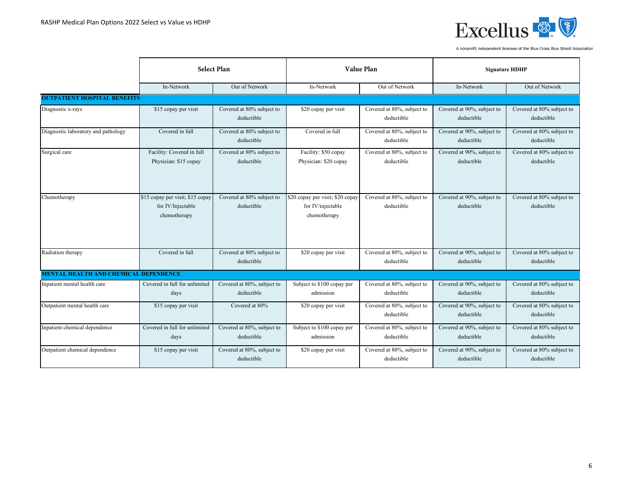

|                                              | <b>Select Plan</b>                                                    |                                          |                                                                       | <b>Value Plan</b>                        |                                          | <b>Signature HDHP</b>                   |  |
|----------------------------------------------|-----------------------------------------------------------------------|------------------------------------------|-----------------------------------------------------------------------|------------------------------------------|------------------------------------------|-----------------------------------------|--|
|                                              | In-Network                                                            | Out of Network                           | In-Network                                                            | Out of Network                           | In-Network                               | Out of Network                          |  |
| <b>OUTPATIENT HOSPITAL BENEFITS</b>          |                                                                       |                                          |                                                                       |                                          |                                          |                                         |  |
| Diagnostic x-rays                            | \$15 copay per visit                                                  | Covered at 80% subject to<br>deductible  | \$20 copay per visit                                                  | Covered at 80%, subject to<br>deductible | Covered at 90%, subject to<br>deductible | Covered at 80% subject to<br>deductible |  |
| Diagnostic laboratory and pathology          | Covered in full                                                       | Covered at 80% subject to<br>deductible  | Covered in full                                                       | Covered at 80%, subject to<br>deductible | Covered at 90%, subject to<br>deductible | Covered at 80% subject to<br>deductible |  |
| Surgical care                                | Facility: Covered in full<br>Physician: \$15 copay                    | Covered at 80% subject to<br>deductible  | Facility: \$50 copay<br>Physician: \$20 copay                         | Covered at 80%, subject to<br>deductible | Covered at 90%, subject to<br>deductible | Covered at 80% subject to<br>deductible |  |
| Chemotherapy                                 | \$15 copay per visit; \$15 copay<br>for IV/Injectable<br>chemotherapy | Covered at 80% subject to<br>deductible  | \$20 copay per visit; \$20 copay<br>for IV/injectable<br>chemotherapy | Covered at 80%, subject to<br>deductible | Covered at 90%, subject to<br>deductible | Covered at 80% subject to<br>deductible |  |
| Radiation therapy                            | Covered in full                                                       | Covered at 80% subject to<br>deductible  | \$20 copay per visit                                                  | Covered at 80%, subject to<br>deductible | Covered at 90%, subject to<br>deductible | Covered at 80% subject to<br>deductible |  |
| <b>MENTAL HEALTH AND CHEMICAL DEPENDENCE</b> |                                                                       |                                          |                                                                       |                                          |                                          |                                         |  |
| Inpatient mental health care                 | Covered in full for unlimited<br>days                                 | Covered at 80%, subject to<br>deductible | Subject to \$100 copay per<br>admission                               | Covered at 80%, subject to<br>deductible | Covered at 90%, subject to<br>deductible | Covered at 80% subject to<br>deductible |  |
| Outpatient mental health care                | \$15 copay per visit                                                  | Covered at 80%                           | \$20 copay per visit                                                  | Covered at 80%, subject to<br>deductible | Covered at 90%, subject to<br>deductible | Covered at 80% subject to<br>deductible |  |
| Inpatient chemical dependence                | Covered in full for unlimited<br>days                                 | Covered at 80%, subject to<br>deductible | Subject to \$100 copay per<br>admission                               | Covered at 80%, subject to<br>deductible | Covered at 90%, subject to<br>deductible | Covered at 80% subject to<br>deductible |  |
| Outpatient chemical dependence               | \$15 copay per visit                                                  | Covered at 80%, subject to<br>deductible | \$20 copay per visit                                                  | Covered at 80%, subject to<br>deductible | Covered at 90%, subject to<br>deductible | Covered at 80% subject to<br>deductible |  |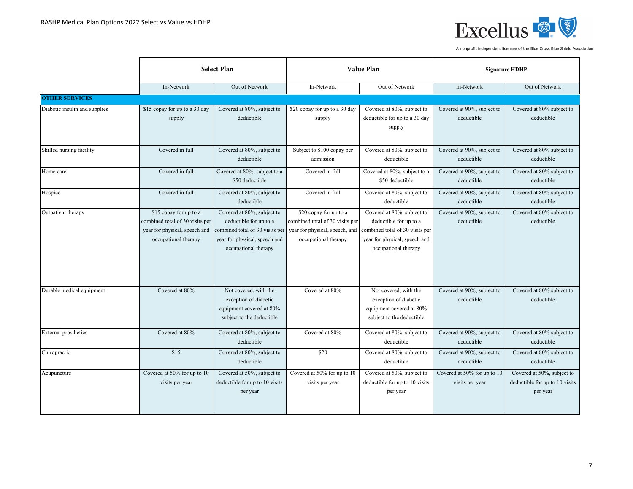

|                               | <b>Select Plan</b>                                                                |                                                                                                                                                                                | <b>Value Plan</b>                                                                                                   |                                                                                                                                                  | <b>Signature HDHP</b>                          |                                                                          |
|-------------------------------|-----------------------------------------------------------------------------------|--------------------------------------------------------------------------------------------------------------------------------------------------------------------------------|---------------------------------------------------------------------------------------------------------------------|--------------------------------------------------------------------------------------------------------------------------------------------------|------------------------------------------------|--------------------------------------------------------------------------|
|                               | In-Network                                                                        | Out of Network                                                                                                                                                                 | In-Network                                                                                                          | Out of Network                                                                                                                                   | In-Network                                     | Out of Network                                                           |
| <b>OTHER SERVICES</b>         |                                                                                   |                                                                                                                                                                                |                                                                                                                     |                                                                                                                                                  |                                                |                                                                          |
| Diabetic insulin and supplies | \$15 copay for up to a 30 day<br>supply                                           | Covered at 80%, subject to<br>deductible                                                                                                                                       | \$20 copay for up to a 30 day<br>supply                                                                             | Covered at 80%, subject to<br>deductible for up to a 30 day<br>supply                                                                            | Covered at 90%, subject to<br>deductible       | Covered at 80% subject to<br>deductible                                  |
| Skilled nursing facility      | Covered in full                                                                   | Covered at 80%, subject to<br>deductible                                                                                                                                       | Subject to \$100 copay per<br>admission                                                                             | Covered at 80%, subject to<br>deductible                                                                                                         | Covered at 90%, subject to<br>deductible       | Covered at 80% subject to<br>deductible                                  |
| Home care                     | Covered in full                                                                   | Covered at 80%, subject to a<br>\$50 deductible                                                                                                                                | Covered in full                                                                                                     | Covered at 80%, subject to a<br>\$50 deductible                                                                                                  | Covered at 90%, subject to<br>deductible       | Covered at 80% subject to<br>deductible                                  |
| Hospice                       | Covered in full                                                                   | Covered at 80%, subject to<br>deductible                                                                                                                                       | Covered in full                                                                                                     | Covered at 80%, subject to<br>deductible                                                                                                         | Covered at 90%, subject to<br>deductible       | Covered at 80% subject to<br>deductible                                  |
| Outpatient therapy            | \$15 copay for up to a<br>combined total of 30 visits per<br>occupational therapy | Covered at 80%, subject to<br>deductible for up to a<br>year for physical, speech and combined total of 30 visits per<br>year for physical, speech and<br>occupational therapy | \$20 copay for up to a<br>combined total of 30 visits per<br>year for physical, speech, and<br>occupational therapy | Covered at 80%, subject to<br>deductible for up to a<br>combined total of 30 visits per<br>year for physical, speech and<br>occupational therapy | Covered at 90%, subject to<br>deductible       | Covered at 80% subject to<br>deductible                                  |
| Durable medical equipment     | Covered at 80%                                                                    | Not covered, with the<br>exception of diabetic<br>equipment covered at 80%<br>subject to the deductible                                                                        | Covered at 80%                                                                                                      | Not covered, with the<br>exception of diabetic<br>equipment covered at 80%<br>subject to the deductible                                          | Covered at 90%, subject to<br>deductible       | Covered at 80% subject to<br>deductible                                  |
| <b>External prosthetics</b>   | Covered at 80%                                                                    | Covered at 80%, subject to<br>deductible                                                                                                                                       | Covered at 80%                                                                                                      | Covered at 80%, subject to<br>deductible                                                                                                         | Covered at 90%, subject to<br>deductible       | Covered at 80% subject to<br>deductible                                  |
| Chiropractic                  | \$15                                                                              | Covered at 80%, subject to<br>deductible                                                                                                                                       | $\overline{$20}$                                                                                                    | Covered at 80%, subject to<br>deductible                                                                                                         | Covered at 90%, subject to<br>deductible       | Covered at 80% subject to<br>deductible                                  |
| Acupuncture                   | Covered at 50% for up to 10<br>visits per year                                    | Covered at 50%, subject to<br>deductible for up to 10 visits<br>per year                                                                                                       | Covered at 50% for up to 10<br>visits per year                                                                      | Covered at 50%, subject to<br>deductible for up to 10 visits<br>per year                                                                         | Covered at 50% for up to 10<br>visits per year | Covered at 50%, subject to<br>deductible for up to 10 visits<br>per year |